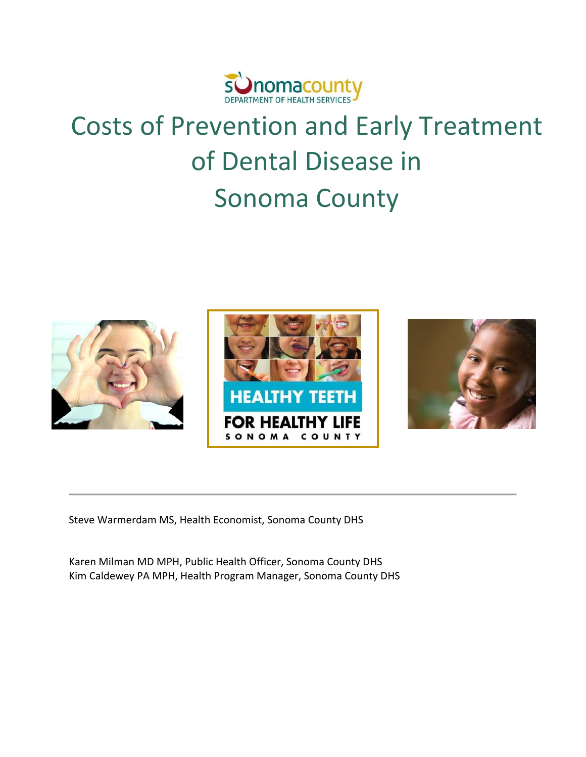

# Costs of Prevention and Early Treatment of Dental Disease in Sonoma County



Steve Warmerdam MS, Health Economist, Sonoma County DHS

Karen Milman MD MPH, Public Health Officer, Sonoma County DHS Kim Caldewey PA MPH, Health Program Manager, Sonoma County DHS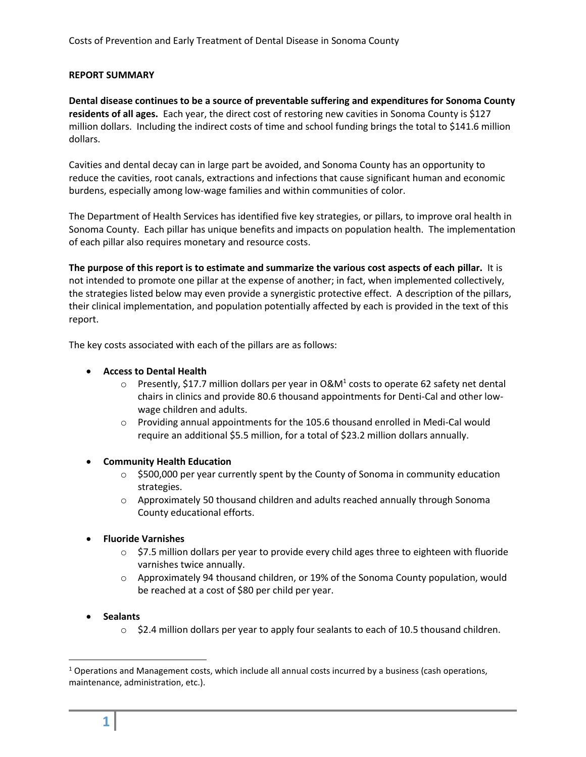#### <span id="page-1-0"></span>**REPORT SUMMARY**

**Dental disease continues to be a source of preventable suffering and expenditures for Sonoma County residents of all ages.** Each year, the direct cost of restoring new cavities in Sonoma County is \$127 million dollars. Including the indirect costs of time and school funding brings the total to \$141.6 million dollars.

Cavities and dental decay can in large part be avoided, and Sonoma County has an opportunity to reduce the cavities, root canals, extractions and infections that cause significant human and economic burdens, especially among low-wage families and within communities of color.

The Department of Health Services has identified five key strategies, or pillars, to improve oral health in Sonoma County. Each pillar has unique benefits and impacts on population health. The implementation of each pillar also requires monetary and resource costs.

**The purpose of this report is to estimate and summarize the various cost aspects of each pillar.** It is not intended to promote one pillar at the expense of another; in fact, when implemented collectively, the strategies listed below may even provide a synergistic protective effect. A description of the pillars, their clinical implementation, and population potentially affected by each is provided in the text of this report.

The key costs associated with each of the pillars are as follows:

#### **Access to Dental Health**

- $\circ$  Presently, \$17.7 million dollars per year in O&M<sup>1</sup> costs to operate 62 safety net dental chairs in clinics and provide 80.6 thousand appointments for Denti-Cal and other lowwage children and adults.
- o Providing annual appointments for the 105.6 thousand enrolled in Medi-Cal would require an additional \$5.5 million, for a total of \$23.2 million dollars annually.
- **Community Health Education**
	- $\circ$  \$500,000 per year currently spent by the County of Sonoma in community education strategies.
	- o Approximately 50 thousand children and adults reached annually through Sonoma County educational efforts.

### **Fluoride Varnishes**

- $\circ$  \$7.5 million dollars per year to provide every child ages three to eighteen with fluoride varnishes twice annually.
- o Approximately 94 thousand children, or 19% of the Sonoma County population, would be reached at a cost of \$80 per child per year.
- **Sealants**
	- $\circ$  \$2.4 million dollars per year to apply four sealants to each of 10.5 thousand children.

l

 $1$  Operations and Management costs, which include all annual costs incurred by a business (cash operations, maintenance, administration, etc.).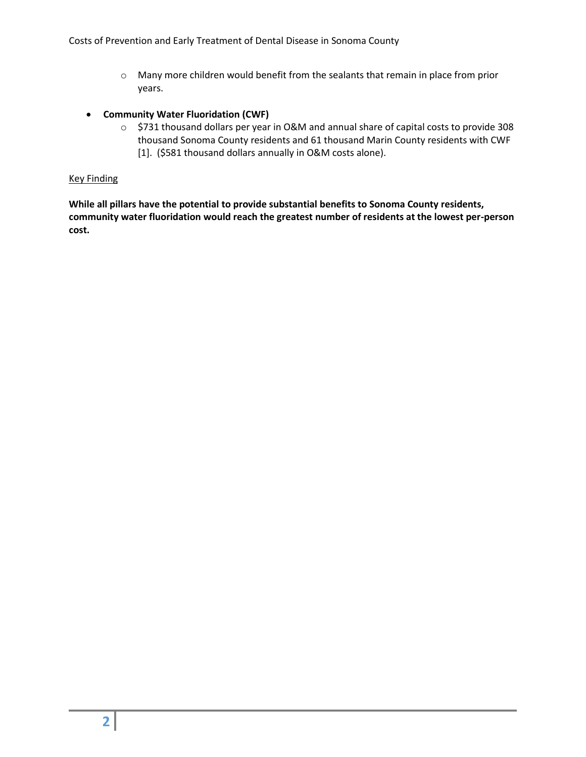- o Many more children would benefit from the sealants that remain in place from prior years.
- **Community Water Fluoridation (CWF)**
	- o \$731 thousand dollars per year in O&M and annual share of capital costs to provide 308 thousand Sonoma County residents and 61 thousand Marin County residents with CWF [1]. (\$581 thousand dollars annually in O&M costs alone).

#### Key Finding

**While all pillars have the potential to provide substantial benefits to Sonoma County residents, community water fluoridation would reach the greatest number of residents at the lowest per-person cost.**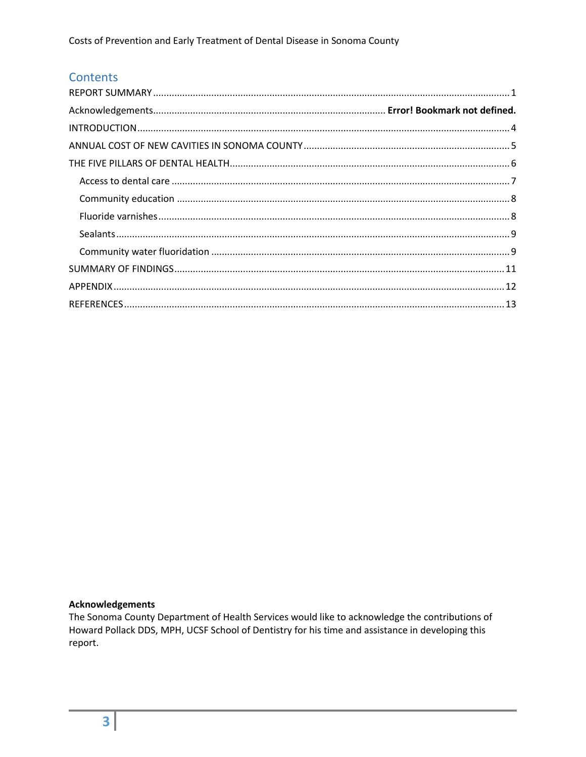# **Contents**

## **Acknowledgements**

The Sonoma County Department of Health Services would like to acknowledge the contributions of Howard Pollack DDS, MPH, UCSF School of Dentistry for his time and assistance in developing this report.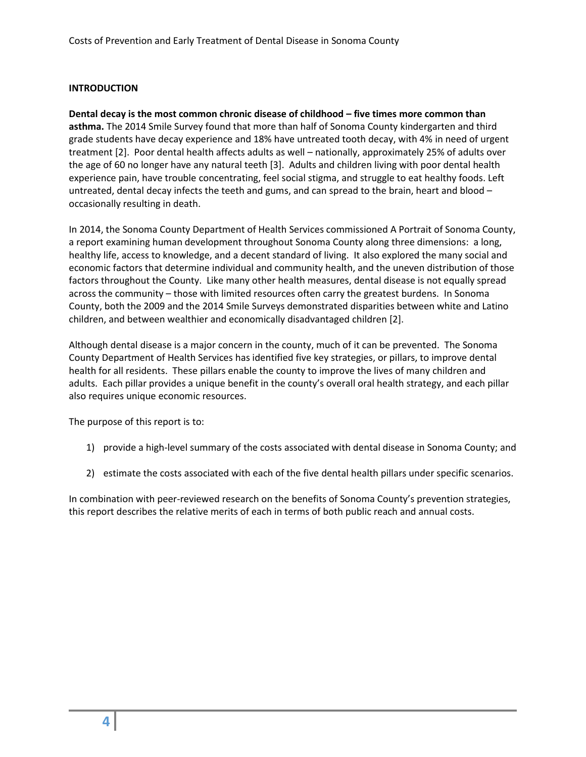## <span id="page-4-0"></span>**INTRODUCTION**

**Dental decay is the most common chronic disease of childhood – five times more common than asthma.** The 2014 Smile Survey found that more than half of Sonoma County kindergarten and third grade students have decay experience and 18% have untreated tooth decay, with 4% in need of urgent treatment [2]. Poor dental health affects adults as well – nationally, approximately 25% of adults over the age of 60 no longer have any natural teeth [3]. Adults and children living with poor dental health experience pain, have trouble concentrating, feel social stigma, and struggle to eat healthy foods. Left untreated, dental decay infects the teeth and gums, and can spread to the brain, heart and blood – occasionally resulting in death.

In 2014, the Sonoma County Department of Health Services commissioned A Portrait of Sonoma County, a report examining human development throughout Sonoma County along three dimensions: a long, healthy life, access to knowledge, and a decent standard of living. It also explored the many social and economic factors that determine individual and community health, and the uneven distribution of those factors throughout the County. Like many other health measures, dental disease is not equally spread across the community – those with limited resources often carry the greatest burdens. In Sonoma County, both the 2009 and the 2014 Smile Surveys demonstrated disparities between white and Latino children, and between wealthier and economically disadvantaged children [2].

Although dental disease is a major concern in the county, much of it can be prevented. The Sonoma County Department of Health Services has identified five key strategies, or pillars, to improve dental health for all residents. These pillars enable the county to improve the lives of many children and adults. Each pillar provides a unique benefit in the county's overall oral health strategy, and each pillar also requires unique economic resources.

The purpose of this report is to:

- 1) provide a high-level summary of the costs associated with dental disease in Sonoma County; and
- 2) estimate the costs associated with each of the five dental health pillars under specific scenarios.

In combination with peer-reviewed research on the benefits of Sonoma County's prevention strategies, this report describes the relative merits of each in terms of both public reach and annual costs.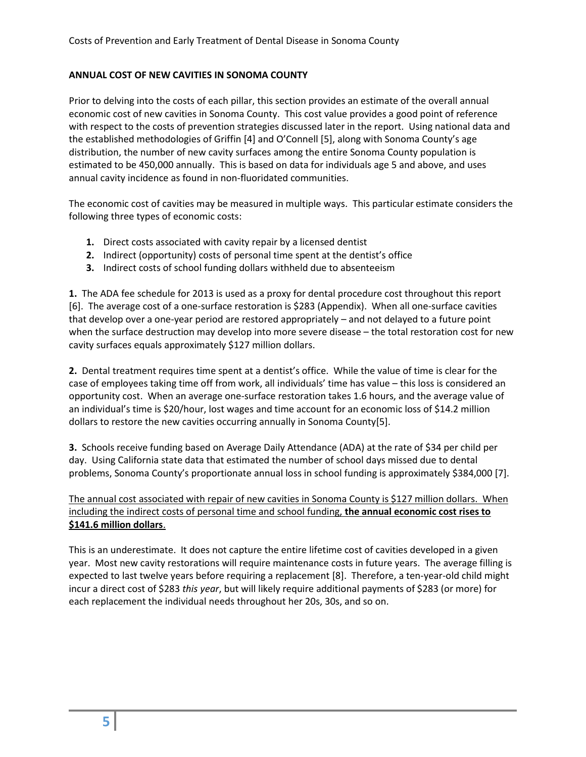## <span id="page-5-0"></span>**ANNUAL COST OF NEW CAVITIES IN SONOMA COUNTY**

Prior to delving into the costs of each pillar, this section provides an estimate of the overall annual economic cost of new cavities in Sonoma County. This cost value provides a good point of reference with respect to the costs of prevention strategies discussed later in the report. Using national data and the established methodologies of Griffin [4] and O'Connell [5], along with Sonoma County's age distribution, the number of new cavity surfaces among the entire Sonoma County population is estimated to be 450,000 annually. This is based on data for individuals age 5 and above, and uses annual cavity incidence as found in non-fluoridated communities.

The economic cost of cavities may be measured in multiple ways. This particular estimate considers the following three types of economic costs:

- **1.** Direct costs associated with cavity repair by a licensed dentist
- **2.** Indirect (opportunity) costs of personal time spent at the dentist's office
- **3.** Indirect costs of school funding dollars withheld due to absenteeism

**1.** The ADA fee schedule for 2013 is used as a proxy for dental procedure cost throughout this report [6]. The average cost of a one-surface restoration is \$283 (Appendix). When all one-surface cavities that develop over a one-year period are restored appropriately – and not delayed to a future point when the surface destruction may develop into more severe disease – the total restoration cost for new cavity surfaces equals approximately \$127 million dollars.

**2.** Dental treatment requires time spent at a dentist's office. While the value of time is clear for the case of employees taking time off from work, all individuals' time has value – this loss is considered an opportunity cost. When an average one-surface restoration takes 1.6 hours, and the average value of an individual's time is \$20/hour, lost wages and time account for an economic loss of \$14.2 million dollars to restore the new cavities occurring annually in Sonoma County[5].

**3.** Schools receive funding based on Average Daily Attendance (ADA) at the rate of \$34 per child per day. Using California state data that estimated the number of school days missed due to dental problems, Sonoma County's proportionate annual loss in school funding is approximately \$384,000 [7].

The annual cost associated with repair of new cavities in Sonoma County is \$127 million dollars. When including the indirect costs of personal time and school funding, **the annual economic cost rises to \$141.6 million dollars**.

This is an underestimate. It does not capture the entire lifetime cost of cavities developed in a given year. Most new cavity restorations will require maintenance costs in future years. The average filling is expected to last twelve years before requiring a replacement [8]. Therefore, a ten-year-old child might incur a direct cost of \$283 *this year*, but will likely require additional payments of \$283 (or more) for each replacement the individual needs throughout her 20s, 30s, and so on.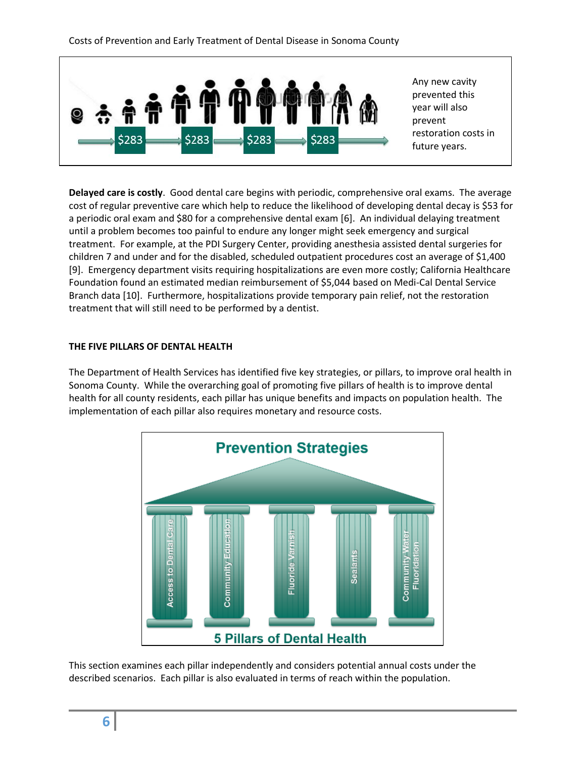

**Delayed care is costly**. Good dental care begins with periodic, comprehensive oral exams. The average cost of regular preventive care which help to reduce the likelihood of developing dental decay is \$53 for a periodic oral exam and \$80 for a comprehensive dental exam [6]. An individual delaying treatment until a problem becomes too painful to endure any longer might seek emergency and surgical treatment. For example, at the PDI Surgery Center, providing anesthesia assisted dental surgeries for children 7 and under and for the disabled, scheduled outpatient procedures cost an average of \$1,400 [9]. Emergency department visits requiring hospitalizations are even more costly; California Healthcare Foundation found an estimated median reimbursement of \$5,044 based on Medi-Cal Dental Service Branch data [10]. Furthermore, hospitalizations provide temporary pain relief, not the restoration treatment that will still need to be performed by a dentist.

### <span id="page-6-0"></span>**THE FIVE PILLARS OF DENTAL HEALTH**

The Department of Health Services has identified five key strategies, or pillars, to improve oral health in Sonoma County. While the overarching goal of promoting five pillars of health is to improve dental health for all county residents, each pillar has unique benefits and impacts on population health. The implementation of each pillar also requires monetary and resource costs.



This section examines each pillar independently and considers potential annual costs under the described scenarios. Each pillar is also evaluated in terms of reach within the population.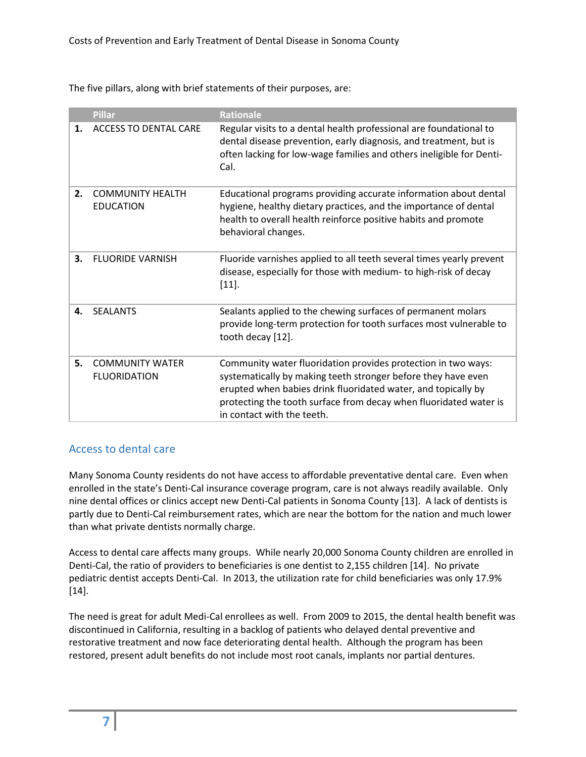The five pillars, along with brief statements of their purposes, are:

|    | <b>Pillar</b>                                 | <b>Rationale</b>                                                                                                                                                                                                                                                                                   |
|----|-----------------------------------------------|----------------------------------------------------------------------------------------------------------------------------------------------------------------------------------------------------------------------------------------------------------------------------------------------------|
| 1. | <b>ACCESS TO DENTAL CARE</b>                  | Regular visits to a dental health professional are foundational to<br>dental disease prevention, early diagnosis, and treatment, but is<br>often lacking for low-wage families and others ineligible for Denti-<br>Cal.                                                                            |
| 2. | <b>COMMUNITY HEALTH</b><br><b>EDUCATION</b>   | Educational programs providing accurate information about dental<br>hygiene, healthy dietary practices, and the importance of dental<br>health to overall health reinforce positive habits and promote<br>behavioral changes.                                                                      |
| 3. | <b>FLUORIDE VARNISH</b>                       | Fluoride varnishes applied to all teeth several times yearly prevent<br>disease, especially for those with medium- to high-risk of decay<br>$[11].$                                                                                                                                                |
| 4. | <b>SFALANTS</b>                               | Sealants applied to the chewing surfaces of permanent molars<br>provide long-term protection for tooth surfaces most vulnerable to<br>tooth decay [12].                                                                                                                                            |
| 5. | <b>COMMUNITY WATER</b><br><b>FLUORIDATION</b> | Community water fluoridation provides protection in two ways:<br>systematically by making teeth stronger before they have even<br>erupted when babies drink fluoridated water, and topically by<br>protecting the tooth surface from decay when fluoridated water is<br>in contact with the teeth. |

# <span id="page-7-0"></span>Access to dental care

Many Sonoma County residents do not have access to affordable preventative dental care. Even when enrolled in the state's Denti-Cal insurance coverage program, care is not always readily available. Only nine dental offices or clinics accept new Denti-Cal patients in Sonoma County [13]. A lack of dentists is partly due to Denti-Cal reimbursement rates, which are near the bottom for the nation and much lower than what private dentists normally charge.

Access to dental care affects many groups. While nearly 20,000 Sonoma County children are enrolled in Denti-Cal, the ratio of providers to beneficiaries is one dentist to 2,155 children [14]. No private pediatric dentist accepts Denti-Cal. In 2013, the utilization rate for child beneficiaries was only 17.9% [14].

The need is great for adult Medi-Cal enrollees as well. From 2009 to 2015, the dental health benefit was discontinued in California, resulting in a backlog of patients who delayed dental preventive and restorative treatment and now face deteriorating dental health. Although the program has been restored, present adult benefits do not include most root canals, implants nor partial dentures.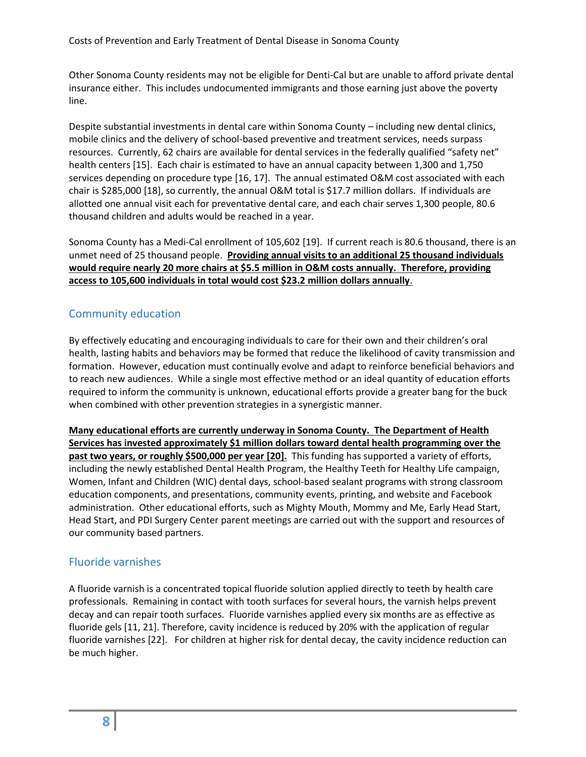Other Sonoma County residents may not be eligible for Denti-Cal but are unable to afford private dental insurance either. This includes undocumented immigrants and those earning just above the poverty line.

Despite substantial investments in dental care within Sonoma County – including new dental clinics, mobile clinics and the delivery of school-based preventive and treatment services, needs surpass resources. Currently, 62 chairs are available for dental services in the federally qualified "safety net" health centers [15]. Each chair is estimated to have an annual capacity between 1,300 and 1,750 services depending on procedure type [16, 17]. The annual estimated O&M cost associated with each chair is \$285,000 [18], so currently, the annual O&M total is \$17.7 million dollars. If individuals are allotted one annual visit each for preventative dental care, and each chair serves 1,300 people, 80.6 thousand children and adults would be reached in a year.

Sonoma County has a Medi-Cal enrollment of 105,602 [19]. If current reach is 80.6 thousand, there is an unmet need of 25 thousand people. **Providing annual visits to an additional 25 thousand individuals would require nearly 20 more chairs at \$5.5 million in O&M costs annually. Therefore, providing access to 105,600 individuals in total would cost \$23.2 million dollars annually**.

## <span id="page-8-0"></span>Community education

By effectively educating and encouraging individuals to care for their own and their children's oral health, lasting habits and behaviors may be formed that reduce the likelihood of cavity transmission and formation. However, education must continually evolve and adapt to reinforce beneficial behaviors and to reach new audiences. While a single most effective method or an ideal quantity of education efforts required to inform the community is unknown, educational efforts provide a greater bang for the buck when combined with other prevention strategies in a synergistic manner.

**Many educational efforts are currently underway in Sonoma County. The Department of Health Services has invested approximately \$1 million dollars toward dental health programming over the past two years, or roughly \$500,000 per year [20].** This funding has supported a variety of efforts, including the newly established Dental Health Program, the Healthy Teeth for Healthy Life campaign, Women, Infant and Children (WIC) dental days, school-based sealant programs with strong classroom education components, and presentations, community events, printing, and website and Facebook administration. Other educational efforts, such as Mighty Mouth, Mommy and Me, Early Head Start, Head Start, and PDI Surgery Center parent meetings are carried out with the support and resources of our community based partners.

## <span id="page-8-1"></span>Fluoride varnishes

A fluoride varnish is a concentrated topical fluoride solution applied directly to teeth by health care professionals. Remaining in contact with tooth surfaces for several hours, the varnish helps prevent decay and can repair tooth surfaces. Fluoride varnishes applied every six months are as effective as fluoride gels [11, 21]. Therefore, cavity incidence is reduced by 20% with the application of regular fluoride varnishes [22]. For children at higher risk for dental decay, the cavity incidence reduction can be much higher.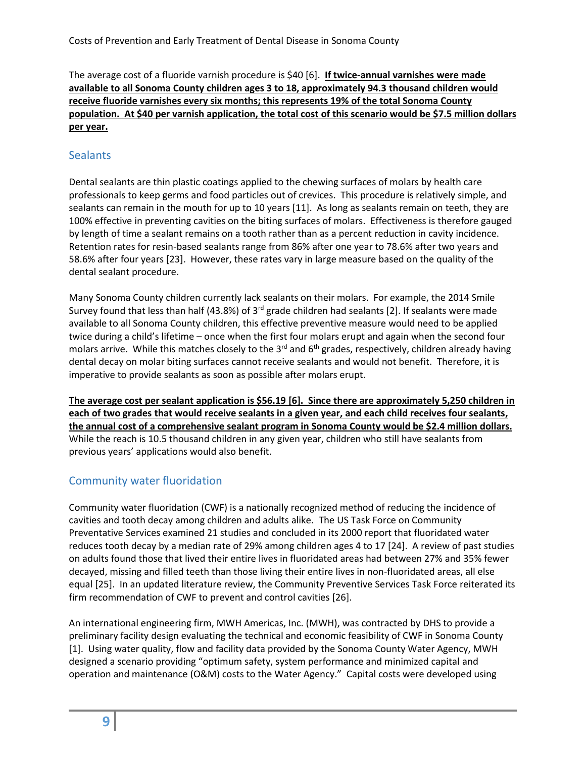The average cost of a fluoride varnish procedure is \$40 [6]. **If twice-annual varnishes were made available to all Sonoma County children ages 3 to 18, approximately 94.3 thousand children would receive fluoride varnishes every six months; this represents 19% of the total Sonoma County population. At \$40 per varnish application, the total cost of this scenario would be \$7.5 million dollars per year.**

## <span id="page-9-0"></span>**Sealants**

Dental sealants are thin plastic coatings applied to the chewing surfaces of molars by health care professionals to keep germs and food particles out of crevices. This procedure is relatively simple, and sealants can remain in the mouth for up to 10 years [11]. As long as sealants remain on teeth, they are 100% effective in preventing cavities on the biting surfaces of molars. Effectiveness is therefore gauged by length of time a sealant remains on a tooth rather than as a percent reduction in cavity incidence. Retention rates for resin-based sealants range from 86% after one year to 78.6% after two years and 58.6% after four years [23]. However, these rates vary in large measure based on the quality of the dental sealant procedure.

Many Sonoma County children currently lack sealants on their molars. For example, the 2014 Smile Survey found that less than half (43.8%) of  $3<sup>rd</sup>$  grade children had sealants [2]. If sealants were made available to all Sonoma County children, this effective preventive measure would need to be applied twice during a child's lifetime – once when the first four molars erupt and again when the second four molars arrive. While this matches closely to the 3<sup>rd</sup> and 6<sup>th</sup> grades, respectively, children already having dental decay on molar biting surfaces cannot receive sealants and would not benefit. Therefore, it is imperative to provide sealants as soon as possible after molars erupt.

**The average cost per sealant application is \$56.19 [6]. Since there are approximately 5,250 children in each of two grades that would receive sealants in a given year, and each child receives four sealants, the annual cost of a comprehensive sealant program in Sonoma County would be \$2.4 million dollars.** While the reach is 10.5 thousand children in any given year, children who still have sealants from previous years' applications would also benefit.

# <span id="page-9-1"></span>Community water fluoridation

Community water fluoridation (CWF) is a nationally recognized method of reducing the incidence of cavities and tooth decay among children and adults alike. The US Task Force on Community Preventative Services examined 21 studies and concluded in its 2000 report that fluoridated water reduces tooth decay by a median rate of 29% among children ages 4 to 17 [24]. A review of past studies on adults found those that lived their entire lives in fluoridated areas had between 27% and 35% fewer decayed, missing and filled teeth than those living their entire lives in non-fluoridated areas, all else equal [25]. In an updated literature review, the Community Preventive Services Task Force reiterated its firm recommendation of CWF to prevent and control cavities [26].

An international engineering firm, MWH Americas, Inc. (MWH), was contracted by DHS to provide a preliminary facility design evaluating the technical and economic feasibility of CWF in Sonoma County [1]. Using water quality, flow and facility data provided by the Sonoma County Water Agency, MWH designed a scenario providing "optimum safety, system performance and minimized capital and operation and maintenance (O&M) costs to the Water Agency." Capital costs were developed using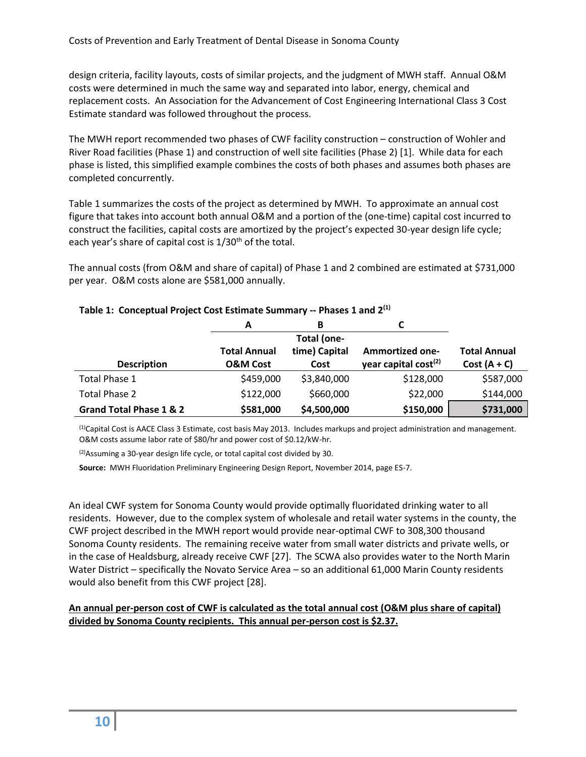design criteria, facility layouts, costs of similar projects, and the judgment of MWH staff. Annual O&M costs were determined in much the same way and separated into labor, energy, chemical and replacement costs. An Association for the Advancement of Cost Engineering International Class 3 Cost Estimate standard was followed throughout the process.

The MWH report recommended two phases of CWF facility construction – construction of Wohler and River Road facilities (Phase 1) and construction of well site facilities (Phase 2) [1]. While data for each phase is listed, this simplified example combines the costs of both phases and assumes both phases are completed concurrently.

Table 1 summarizes the costs of the project as determined by MWH. To approximate an annual cost figure that takes into account both annual O&M and a portion of the (one-time) capital cost incurred to construct the facilities, capital costs are amortized by the project's expected 30-year design life cycle; each year's share of capital cost is 1/30<sup>th</sup> of the total.

The annual costs (from O&M and share of capital) of Phase 1 and 2 combined are estimated at \$731,000 per year. O&M costs alone are \$581,000 annually.

|                         | A                   | В             |                                  |                     |
|-------------------------|---------------------|---------------|----------------------------------|---------------------|
|                         |                     | Total (one-   |                                  |                     |
|                         | <b>Total Annual</b> | time) Capital | <b>Ammortized one-</b>           | <b>Total Annual</b> |
| <b>Description</b>      | <b>O&amp;M Cost</b> | Cost          | year capital cost <sup>(2)</sup> | $Cost (A + C)$      |
| Total Phase 1           | \$459,000           | \$3,840,000   | \$128,000                        | \$587,000           |
| Total Phase 2           | \$122,000           | \$660,000     | \$22,000                         | \$144,000           |
| Grand Total Phase 1 & 2 | \$581,000           | \$4,500,000   | \$150,000                        | \$731,000           |

## **Table 1: Conceptual Project Cost Estimate Summary -- Phases 1 and 2(1)**

(1)Capital Cost is AACE Class 3 Estimate, cost basis May 2013. Includes markups and project administration and management. O&M costs assume labor rate of \$80/hr and power cost of \$0.12/kW-hr.

(2)Assuming a 30-year design life cycle, or total capital cost divided by 30.

**Source:** MWH Fluoridation Preliminary Engineering Design Report, November 2014, page ES-7.

An ideal CWF system for Sonoma County would provide optimally fluoridated drinking water to all residents. However, due to the complex system of wholesale and retail water systems in the county, the CWF project described in the MWH report would provide near-optimal CWF to 308,300 thousand Sonoma County residents. The remaining receive water from small water districts and private wells, or in the case of Healdsburg, already receive CWF [27]. The SCWA also provides water to the North Marin Water District – specifically the Novato Service Area – so an additional 61,000 Marin County residents would also benefit from this CWF project [28].

## **An annual per-person cost of CWF is calculated as the total annual cost (O&M plus share of capital) divided by Sonoma County recipients. This annual per-person cost is \$2.37.**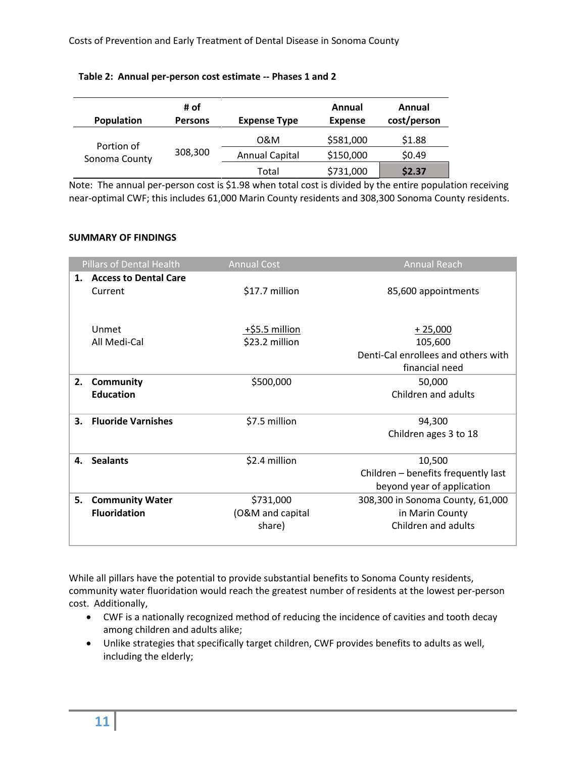| <b>Population</b> | # of<br><b>Persons</b> | <b>Expense Type</b>   | Annual<br><b>Expense</b> | Annual<br>cost/person |
|-------------------|------------------------|-----------------------|--------------------------|-----------------------|
| Portion of        |                        | 0&M                   | \$581,000                | \$1.88                |
| Sonoma County     | 308,300                | <b>Annual Capital</b> | \$150,000                | \$0.49                |
|                   |                        | Total                 | \$731,000                | \$2.37                |

### **Table 2: Annual per-person cost estimate -- Phases 1 and 2**

Note: The annual per-person cost is \$1.98 when total cost is divided by the entire population receiving near-optimal CWF; this includes 61,000 Marin County residents and 308,300 Sonoma County residents.

## <span id="page-11-0"></span>**SUMMARY OF FINDINGS**

|    | <b>Pillars of Dental Health</b>               | <b>Annual Cost</b>                      | <b>Annual Reach</b>                                                           |
|----|-----------------------------------------------|-----------------------------------------|-------------------------------------------------------------------------------|
| 1. | <b>Access to Dental Care</b><br>Current       | \$17.7 million                          | 85,600 appointments                                                           |
|    | Unmet<br>All Medi-Cal                         | +\$5.5 million<br>\$23.2 million        | $+25,000$<br>105,600<br>Denti-Cal enrollees and others with<br>financial need |
| 2. | Community<br><b>Education</b>                 | \$500,000                               | 50,000<br>Children and adults                                                 |
| 3. | <b>Fluoride Varnishes</b>                     | \$7.5 million                           | 94,300<br>Children ages 3 to 18                                               |
| 4. | <b>Sealants</b>                               | \$2.4 million                           | 10,500<br>Children - benefits frequently last<br>beyond year of application   |
| 5. | <b>Community Water</b><br><b>Fluoridation</b> | \$731,000<br>(O&M and capital<br>share) | 308,300 in Sonoma County, 61,000<br>in Marin County<br>Children and adults    |

While all pillars have the potential to provide substantial benefits to Sonoma County residents, community water fluoridation would reach the greatest number of residents at the lowest per-person cost. Additionally,

- CWF is a nationally recognized method of reducing the incidence of cavities and tooth decay among children and adults alike;
- Unlike strategies that specifically target children, CWF provides benefits to adults as well, including the elderly;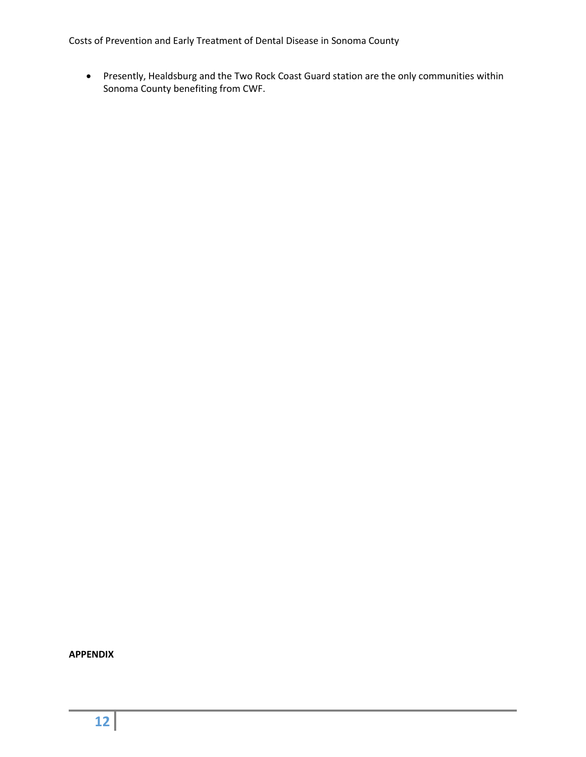Costs of Prevention and Early Treatment of Dental Disease in Sonoma County

 Presently, Healdsburg and the Two Rock Coast Guard station are the only communities within Sonoma County benefiting from CWF.

<span id="page-12-0"></span>**APPENDIX**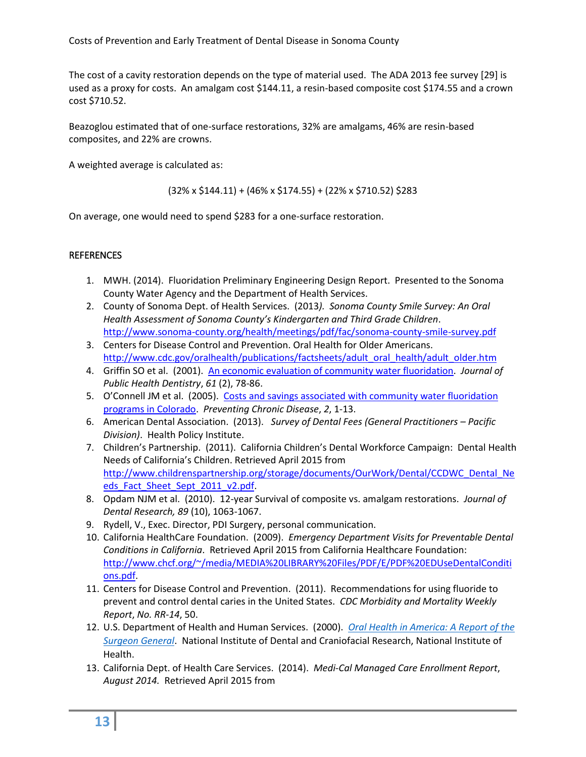The cost of a cavity restoration depends on the type of material used. The ADA 2013 fee survey [29] is used as a proxy for costs. An amalgam cost \$144.11, a resin-based composite cost \$174.55 and a crown cost \$710.52.

Beazoglou estimated that of one-surface restorations, 32% are amalgams, 46% are resin-based composites, and 22% are crowns.

A weighted average is calculated as:

 $(32\% \times \$144.11) + (46\% \times \$174.55) + (22\% \times \$710.52)$ \$283

On average, one would need to spend \$283 for a one-surface restoration.

## <span id="page-13-0"></span>**REFERENCES**

- 1. MWH. (2014). Fluoridation Preliminary Engineering Design Report. Presented to the Sonoma County Water Agency and the Department of Health Services.
- 2. County of Sonoma Dept. of Health Services. (2013*). Sonoma County Smile Survey: An Oral Health Assessment of Sonoma County's Kindergarten and Third Grade Children*. <http://www.sonoma-county.org/health/meetings/pdf/fac/sonoma-county-smile-survey.pdf>
- 3. Centers for Disease Control and Prevention. Oral Health for Older Americans. [http://www.cdc.gov/oralhealth/publications/factsheets/adult\\_oral\\_health/adult\\_older.htm](http://www.cdc.gov/oralhealth/publications/factsheets/adult_oral_health/adult_older.htm)
- 4. Griffin SO et al. (2001). [An economic evaluation of community water fluoridation.](http://www.cdc.gov/fluoridation/pdf/griffin.pdf) *Journal of Public Health Dentistry*, *61* (2), 78-86.
- 5. O'Connell JM et al. (2005). Costs and savings associated with community water fluoridation [programs in Colorado.](http://www.ncbi.nlm.nih.gov/pmc/articles/PMC1459459/) *Preventing Chronic Disease*, *2*, 1-13.
- 6. American Dental Association. (2013). *Survey of Dental Fees (General Practitioners – Pacific Division)*. Health Policy Institute.
- 7. Children's Partnership. (2011). California Children's Dental Workforce Campaign: Dental Health Needs of California's Children. Retrieved April 2015 from [http://www.childrenspartnership.org/storage/documents/OurWork/Dental/CCDWC\\_Dental\\_Ne](http://www.childrenspartnership.org/storage/documents/OurWork/Dental/CCDWC_Dental_Needs_Fact_Sheet_Sept_2011_v2.pdf) [eds\\_Fact\\_Sheet\\_Sept\\_2011\\_v2.pdf.](http://www.childrenspartnership.org/storage/documents/OurWork/Dental/CCDWC_Dental_Needs_Fact_Sheet_Sept_2011_v2.pdf)
- 8. Opdam NJM et al. (2010). 12-year Survival of composite vs. amalgam restorations. *Journal of Dental Research, 89* (10), 1063-1067.
- 9. Rydell, V., Exec. Director, PDI Surgery, personal communication.
- 10. California HealthCare Foundation. (2009). *Emergency Department Visits for Preventable Dental Conditions in California*. Retrieved April 2015 from California Healthcare Foundation: [http://www.chcf.org/~/media/MEDIA%20LIBRARY%20Files/PDF/E/PDF%20EDUseDentalConditi](http://www.chcf.org/~/media/MEDIA%20LIBRARY%20Files/PDF/E/PDF%20EDUseDentalConditions.pdf) [ons.pdf.](http://www.chcf.org/~/media/MEDIA%20LIBRARY%20Files/PDF/E/PDF%20EDUseDentalConditions.pdf)
- 11. Centers for Disease Control and Prevention. (2011). Recommendations for using fluoride to prevent and control dental caries in the United States. *CDC Morbidity and Mortality Weekly Report*, *No. RR-14*, 50.
- 12. U.S. Department of Health and Human Services. (2000). *[Oral Health in America: A Report of the](http://silk.nih.gov/public/hck1ocv.@www.surgeon.fullrpt.pdf)  [Surgeon General](http://silk.nih.gov/public/hck1ocv.@www.surgeon.fullrpt.pdf)*. National Institute of Dental and Craniofacial Research, National Institute of Health.
- 13. California Dept. of Health Care Services. (2014). *Medi-Cal Managed Care Enrollment Report*, *August 2014.* Retrieved April 2015 from